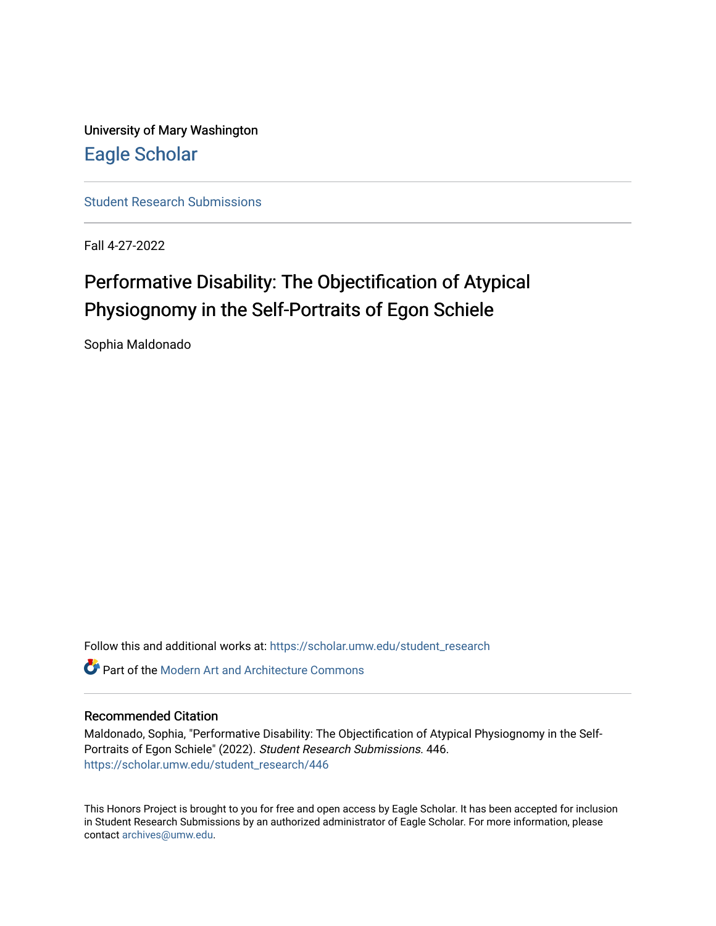University of Mary Washington [Eagle Scholar](https://scholar.umw.edu/) 

[Student Research Submissions](https://scholar.umw.edu/student_research) 

Fall 4-27-2022

# Performative Disability: The Objectification of Atypical Physiognomy in the Self-Portraits of Egon Schiele

Sophia Maldonado

Follow this and additional works at: [https://scholar.umw.edu/student\\_research](https://scholar.umw.edu/student_research?utm_source=scholar.umw.edu%2Fstudent_research%2F446&utm_medium=PDF&utm_campaign=PDFCoverPages)

**Part of the Modern Art and Architecture Commons** 

### Recommended Citation

Maldonado, Sophia, "Performative Disability: The Objectification of Atypical Physiognomy in the Self-Portraits of Egon Schiele" (2022). Student Research Submissions. 446. [https://scholar.umw.edu/student\\_research/446](https://scholar.umw.edu/student_research/446?utm_source=scholar.umw.edu%2Fstudent_research%2F446&utm_medium=PDF&utm_campaign=PDFCoverPages)

This Honors Project is brought to you for free and open access by Eagle Scholar. It has been accepted for inclusion in Student Research Submissions by an authorized administrator of Eagle Scholar. For more information, please contact [archives@umw.edu](mailto:archives@umw.edu).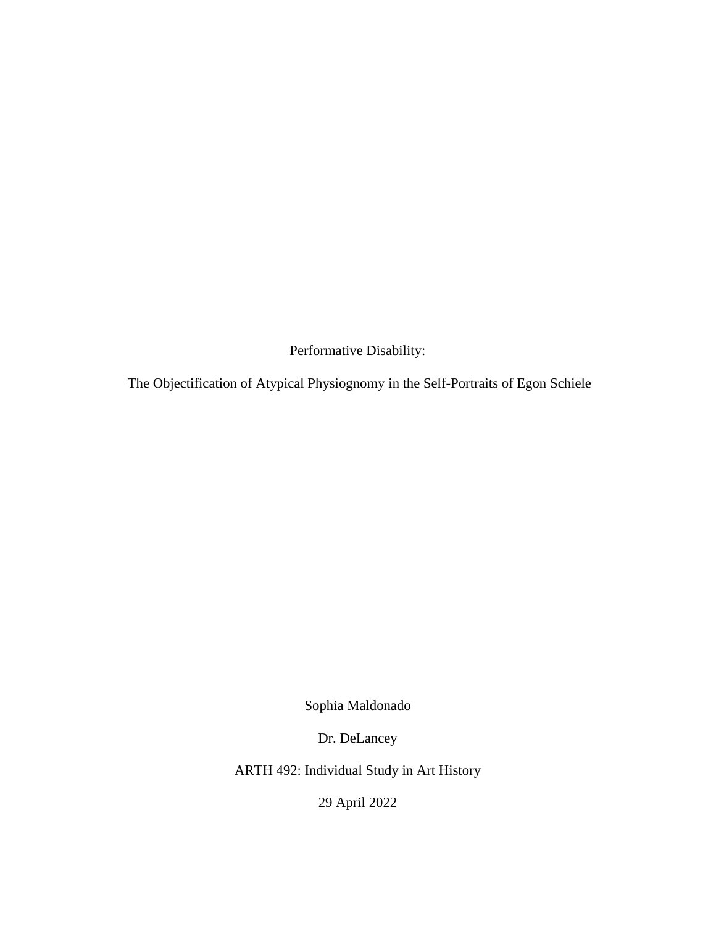Performative Disability:

The Objectification of Atypical Physiognomy in the Self-Portraits of Egon Schiele

Sophia Maldonado

Dr. DeLancey

ARTH 492: Individual Study in Art History

29 April 2022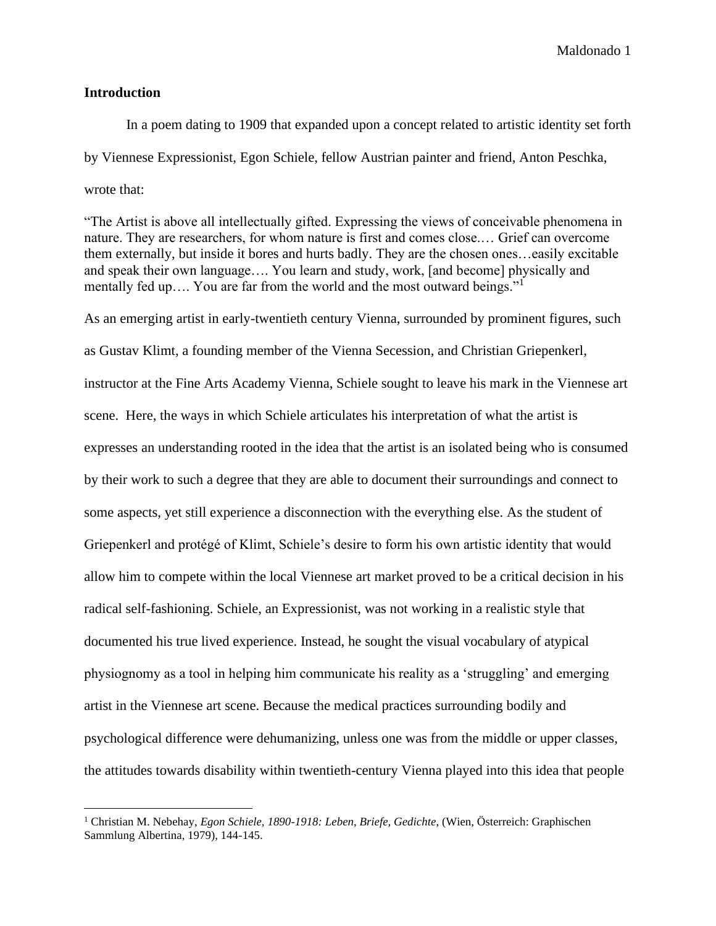#### **Introduction**

In a poem dating to 1909 that expanded upon a concept related to artistic identity set forth by Viennese Expressionist, Egon Schiele, fellow Austrian painter and friend, Anton Peschka, wrote that:

"The Artist is above all intellectually gifted. Expressing the views of conceivable phenomena in nature. They are researchers, for whom nature is first and comes close.… Grief can overcome them externally, but inside it bores and hurts badly. They are the chosen ones…easily excitable and speak their own language…. You learn and study, work, [and become] physically and mentally fed up.... You are far from the world and the most outward beings."<sup>1</sup>

As an emerging artist in early-twentieth century Vienna, surrounded by prominent figures, such as Gustav Klimt, a founding member of the Vienna Secession, and Christian Griepenkerl, instructor at the Fine Arts Academy Vienna, Schiele sought to leave his mark in the Viennese art scene. Here, the ways in which Schiele articulates his interpretation of what the artist is expresses an understanding rooted in the idea that the artist is an isolated being who is consumed by their work to such a degree that they are able to document their surroundings and connect to some aspects, yet still experience a disconnection with the everything else. As the student of Griepenkerl and protégé of Klimt, Schiele's desire to form his own artistic identity that would allow him to compete within the local Viennese art market proved to be a critical decision in his radical self-fashioning. Schiele, an Expressionist, was not working in a realistic style that documented his true lived experience. Instead, he sought the visual vocabulary of atypical physiognomy as a tool in helping him communicate his reality as a 'struggling' and emerging artist in the Viennese art scene. Because the medical practices surrounding bodily and psychological difference were dehumanizing, unless one was from the middle or upper classes, the attitudes towards disability within twentieth-century Vienna played into this idea that people

<sup>1</sup> Christian M. Nebehay, *Egon Schiele, 1890-1918: Leben, Briefe, Gedichte*, (Wien, Österreich: Graphischen Sammlung Albertina, 1979), 144-145.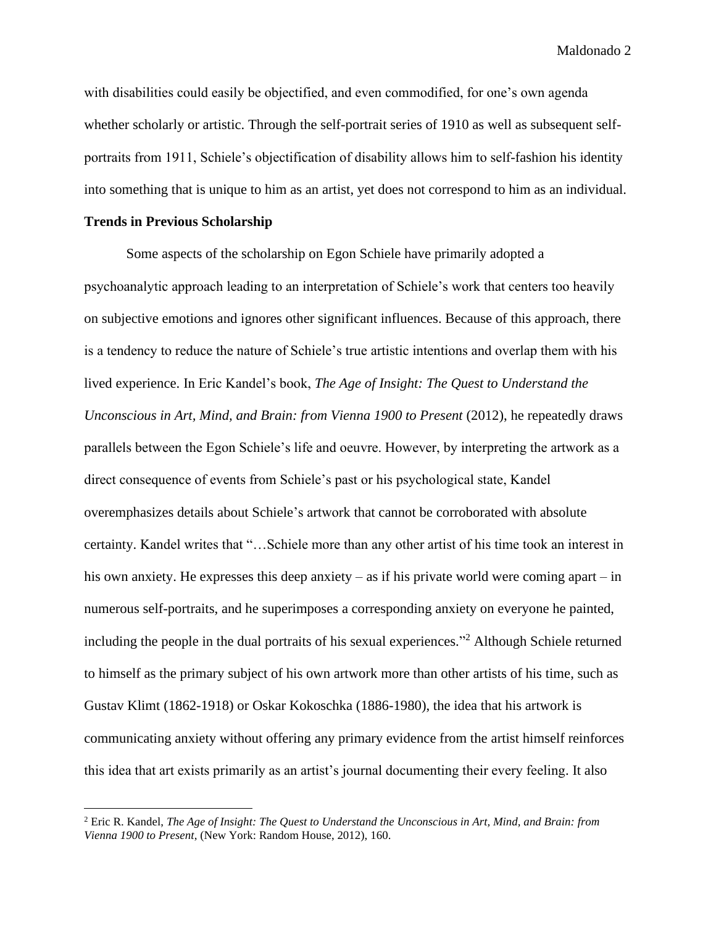with disabilities could easily be objectified, and even commodified, for one's own agenda whether scholarly or artistic. Through the self-portrait series of 1910 as well as subsequent selfportraits from 1911, Schiele's objectification of disability allows him to self-fashion his identity into something that is unique to him as an artist, yet does not correspond to him as an individual.

## **Trends in Previous Scholarship**

Some aspects of the scholarship on Egon Schiele have primarily adopted a psychoanalytic approach leading to an interpretation of Schiele's work that centers too heavily on subjective emotions and ignores other significant influences. Because of this approach, there is a tendency to reduce the nature of Schiele's true artistic intentions and overlap them with his lived experience. In Eric Kandel's book, *The Age of Insight: The Quest to Understand the Unconscious in Art, Mind, and Brain: from Vienna 1900 to Present (2012), he repeatedly draws* parallels between the Egon Schiele's life and oeuvre. However, by interpreting the artwork as a direct consequence of events from Schiele's past or his psychological state, Kandel overemphasizes details about Schiele's artwork that cannot be corroborated with absolute certainty. Kandel writes that "…Schiele more than any other artist of his time took an interest in his own anxiety. He expresses this deep anxiety – as if his private world were coming apart – in numerous self-portraits, and he superimposes a corresponding anxiety on everyone he painted, including the people in the dual portraits of his sexual experiences." <sup>2</sup> Although Schiele returned to himself as the primary subject of his own artwork more than other artists of his time, such as Gustav Klimt (1862-1918) or Oskar Kokoschka (1886-1980), the idea that his artwork is communicating anxiety without offering any primary evidence from the artist himself reinforces this idea that art exists primarily as an artist's journal documenting their every feeling. It also

<sup>2</sup> Eric R. Kandel, *The Age of Insight: The Quest to Understand the Unconscious in Art, Mind, and Brain: from Vienna 1900 to Present*, (New York: Random House, 2012), 160.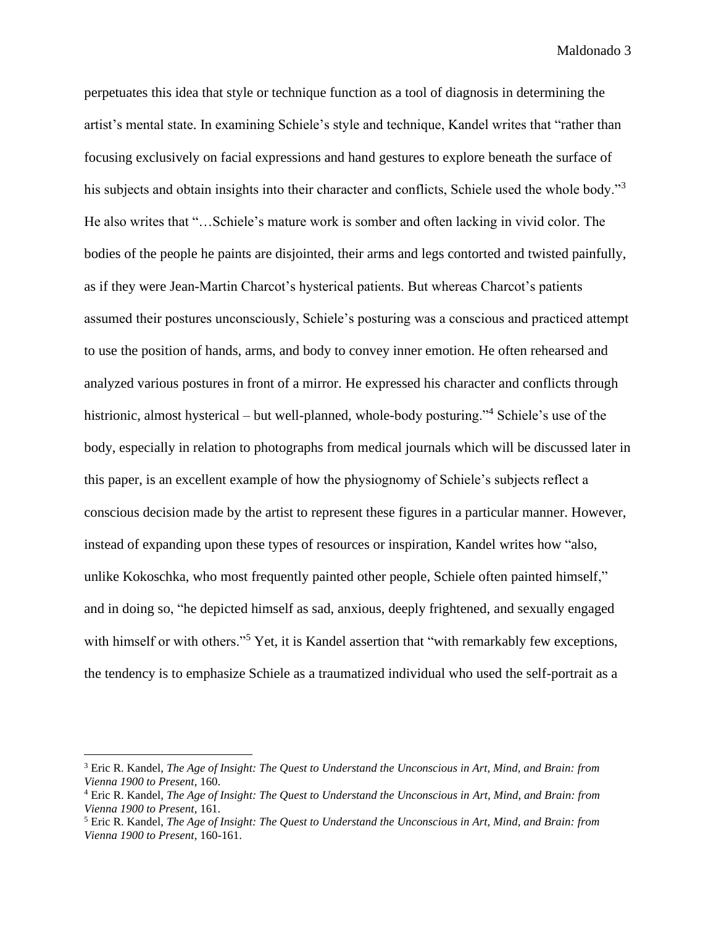perpetuates this idea that style or technique function as a tool of diagnosis in determining the artist's mental state. In examining Schiele's style and technique, Kandel writes that "rather than focusing exclusively on facial expressions and hand gestures to explore beneath the surface of his subjects and obtain insights into their character and conflicts, Schiele used the whole body."<sup>3</sup> He also writes that "…Schiele's mature work is somber and often lacking in vivid color. The bodies of the people he paints are disjointed, their arms and legs contorted and twisted painfully, as if they were Jean-Martin Charcot's hysterical patients. But whereas Charcot's patients assumed their postures unconsciously, Schiele's posturing was a conscious and practiced attempt to use the position of hands, arms, and body to convey inner emotion. He often rehearsed and analyzed various postures in front of a mirror. He expressed his character and conflicts through histrionic, almost hysterical – but well-planned, whole-body posturing."<sup>4</sup> Schiele's use of the body, especially in relation to photographs from medical journals which will be discussed later in this paper, is an excellent example of how the physiognomy of Schiele's subjects reflect a conscious decision made by the artist to represent these figures in a particular manner. However, instead of expanding upon these types of resources or inspiration, Kandel writes how "also, unlike Kokoschka, who most frequently painted other people, Schiele often painted himself," and in doing so, "he depicted himself as sad, anxious, deeply frightened, and sexually engaged with himself or with others."<sup>5</sup> Yet, it is Kandel assertion that "with remarkably few exceptions, the tendency is to emphasize Schiele as a traumatized individual who used the self-portrait as a

<sup>3</sup> Eric R. Kandel, *The Age of Insight: The Quest to Understand the Unconscious in Art, Mind, and Brain: from Vienna 1900 to Present*, 160.

<sup>4</sup> Eric R. Kandel, *The Age of Insight: The Quest to Understand the Unconscious in Art, Mind, and Brain: from Vienna 1900 to Present*, 161.

<sup>5</sup> Eric R. Kandel, *The Age of Insight: The Quest to Understand the Unconscious in Art, Mind, and Brain: from Vienna 1900 to Present*, 160-161.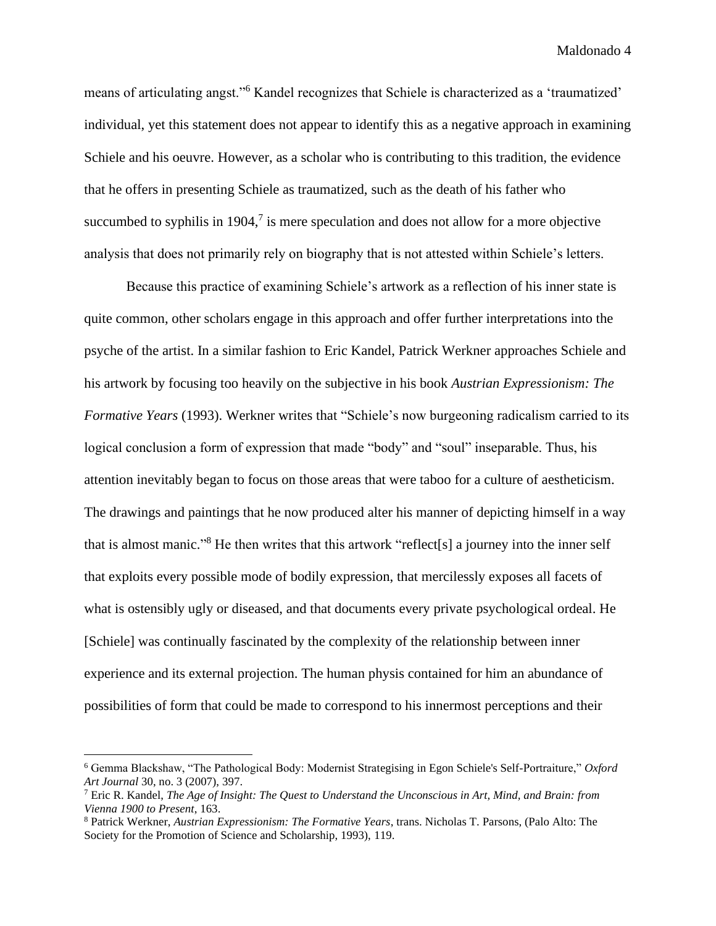means of articulating angst."<sup>6</sup> Kandel recognizes that Schiele is characterized as a 'traumatized' individual, yet this statement does not appear to identify this as a negative approach in examining Schiele and his oeuvre. However, as a scholar who is contributing to this tradition, the evidence that he offers in presenting Schiele as traumatized, such as the death of his father who succumbed to syphilis in 1904, $\frac{7}{1}$  is mere speculation and does not allow for a more objective analysis that does not primarily rely on biography that is not attested within Schiele's letters.

Because this practice of examining Schiele's artwork as a reflection of his inner state is quite common, other scholars engage in this approach and offer further interpretations into the psyche of the artist. In a similar fashion to Eric Kandel, Patrick Werkner approaches Schiele and his artwork by focusing too heavily on the subjective in his book *Austrian Expressionism: The Formative Years* (1993). Werkner writes that "Schiele's now burgeoning radicalism carried to its logical conclusion a form of expression that made "body" and "soul" inseparable. Thus, his attention inevitably began to focus on those areas that were taboo for a culture of aestheticism. The drawings and paintings that he now produced alter his manner of depicting himself in a way that is almost manic." <sup>8</sup> He then writes that this artwork "reflect[s] a journey into the inner self that exploits every possible mode of bodily expression, that mercilessly exposes all facets of what is ostensibly ugly or diseased, and that documents every private psychological ordeal. He [Schiele] was continually fascinated by the complexity of the relationship between inner experience and its external projection. The human physis contained for him an abundance of possibilities of form that could be made to correspond to his innermost perceptions and their

<sup>6</sup> Gemma Blackshaw, "The Pathological Body: Modernist Strategising in Egon Schiele's Self-Portraiture," *Oxford Art Journal* 30, no. 3 (2007), 397.

<sup>7</sup> Eric R. Kandel, *The Age of Insight: The Quest to Understand the Unconscious in Art, Mind, and Brain: from Vienna 1900 to Present*, 163.

<sup>8</sup> Patrick Werkner, *Austrian Expressionism: The Formative Years*, trans. Nicholas T. Parsons, (Palo Alto: The Society for the Promotion of Science and Scholarship, 1993), 119.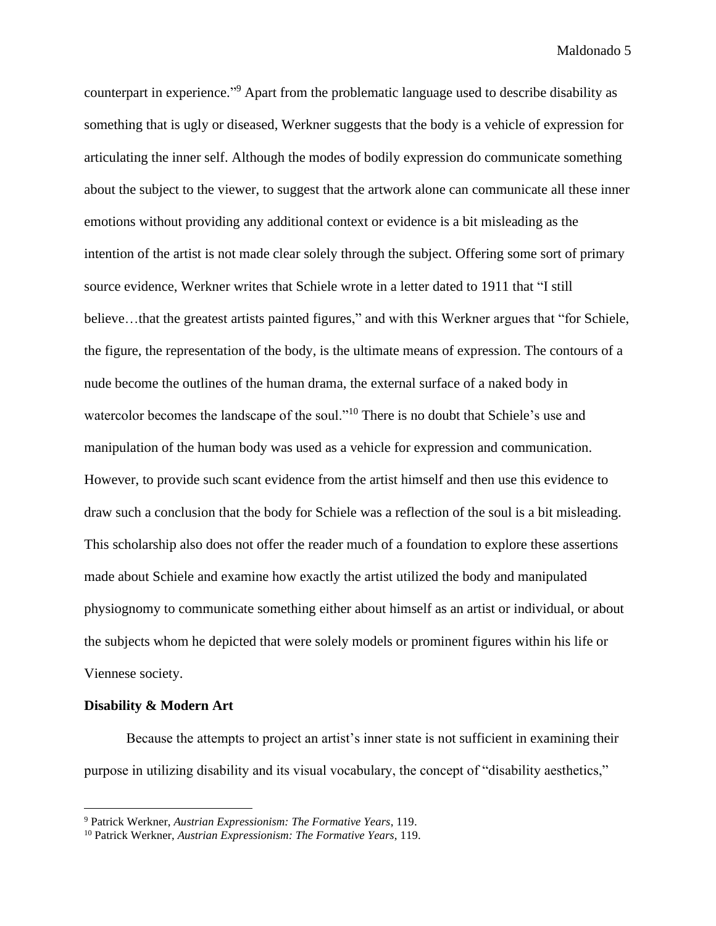counterpart in experience." <sup>9</sup> Apart from the problematic language used to describe disability as something that is ugly or diseased, Werkner suggests that the body is a vehicle of expression for articulating the inner self. Although the modes of bodily expression do communicate something about the subject to the viewer, to suggest that the artwork alone can communicate all these inner emotions without providing any additional context or evidence is a bit misleading as the intention of the artist is not made clear solely through the subject. Offering some sort of primary source evidence, Werkner writes that Schiele wrote in a letter dated to 1911 that "I still believe…that the greatest artists painted figures," and with this Werkner argues that "for Schiele, the figure, the representation of the body, is the ultimate means of expression. The contours of a nude become the outlines of the human drama, the external surface of a naked body in watercolor becomes the landscape of the soul."<sup>10</sup> There is no doubt that Schiele's use and manipulation of the human body was used as a vehicle for expression and communication. However, to provide such scant evidence from the artist himself and then use this evidence to draw such a conclusion that the body for Schiele was a reflection of the soul is a bit misleading. This scholarship also does not offer the reader much of a foundation to explore these assertions made about Schiele and examine how exactly the artist utilized the body and manipulated physiognomy to communicate something either about himself as an artist or individual, or about the subjects whom he depicted that were solely models or prominent figures within his life or Viennese society.

#### **Disability & Modern Art**

Because the attempts to project an artist's inner state is not sufficient in examining their purpose in utilizing disability and its visual vocabulary, the concept of "disability aesthetics,"

<sup>9</sup> Patrick Werkner, *Austrian Expressionism: The Formative Years*, 119.

<sup>10</sup> Patrick Werkner, *Austrian Expressionism: The Formative Years*, 119.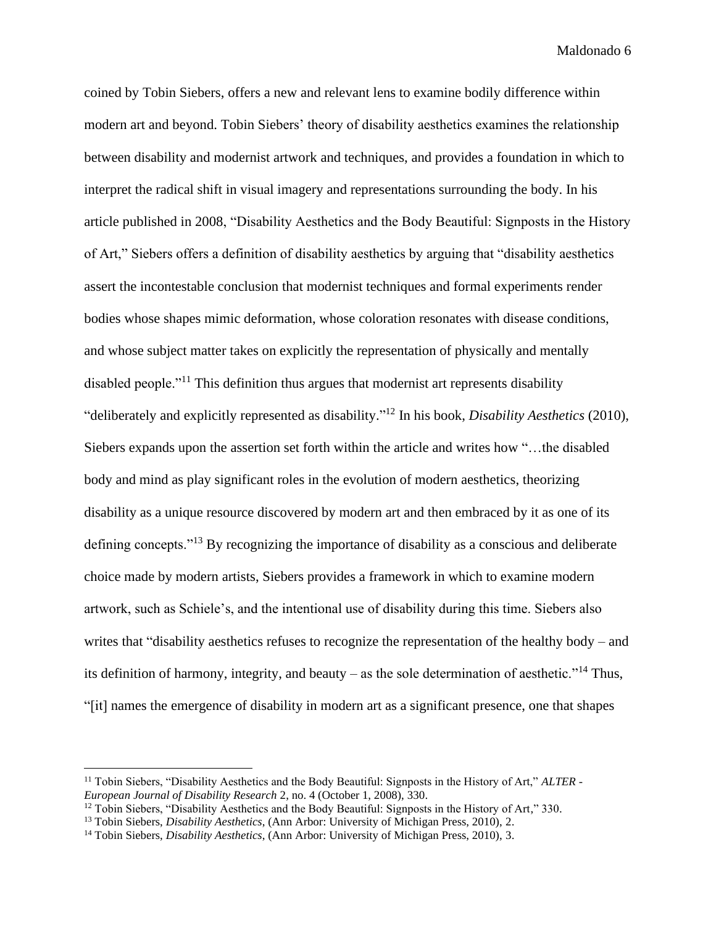coined by Tobin Siebers, offers a new and relevant lens to examine bodily difference within modern art and beyond. Tobin Siebers' theory of disability aesthetics examines the relationship between disability and modernist artwork and techniques, and provides a foundation in which to interpret the radical shift in visual imagery and representations surrounding the body. In his article published in 2008, "Disability Aesthetics and the Body Beautiful: Signposts in the History of Art," Siebers offers a definition of disability aesthetics by arguing that "disability aesthetics assert the incontestable conclusion that modernist techniques and formal experiments render bodies whose shapes mimic deformation, whose coloration resonates with disease conditions, and whose subject matter takes on explicitly the representation of physically and mentally disabled people."<sup>11</sup> This definition thus argues that modernist art represents disability "deliberately and explicitly represented as disability." <sup>12</sup> In his book, *Disability Aesthetics* (2010), Siebers expands upon the assertion set forth within the article and writes how "…the disabled body and mind as play significant roles in the evolution of modern aesthetics, theorizing disability as a unique resource discovered by modern art and then embraced by it as one of its defining concepts."<sup>13</sup> By recognizing the importance of disability as a conscious and deliberate choice made by modern artists, Siebers provides a framework in which to examine modern artwork, such as Schiele's, and the intentional use of disability during this time. Siebers also writes that "disability aesthetics refuses to recognize the representation of the healthy body – and its definition of harmony, integrity, and beauty – as the sole determination of aesthetic."<sup>14</sup> Thus, "[it] names the emergence of disability in modern art as a significant presence, one that shapes

<sup>11</sup> Tobin Siebers, "Disability Aesthetics and the Body Beautiful: Signposts in the History of Art," *ALTER - European Journal of Disability Research* 2, no. 4 (October 1, 2008), 330.

 $12$  Tobin Siebers, "Disability Aesthetics and the Body Beautiful: Signposts in the History of Art," 330.

<sup>13</sup> Tobin Siebers, *Disability Aesthetics*, (Ann Arbor: University of Michigan Press, 2010), 2.

<sup>14</sup> Tobin Siebers, *Disability Aesthetics*, (Ann Arbor: University of Michigan Press, 2010), 3.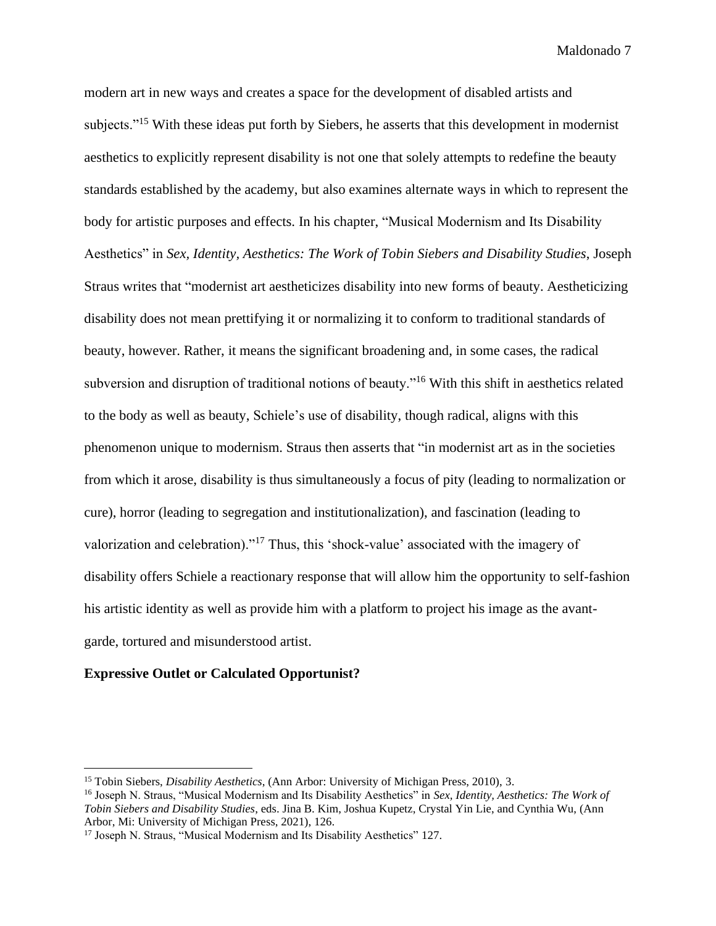modern art in new ways and creates a space for the development of disabled artists and subjects."<sup>15</sup> With these ideas put forth by Siebers, he asserts that this development in modernist aesthetics to explicitly represent disability is not one that solely attempts to redefine the beauty standards established by the academy, but also examines alternate ways in which to represent the body for artistic purposes and effects. In his chapter, "Musical Modernism and Its Disability Aesthetics" in *Sex, Identity, Aesthetics: The Work of Tobin Siebers and Disability Studies*, Joseph Straus writes that "modernist art aestheticizes disability into new forms of beauty. Aestheticizing disability does not mean prettifying it or normalizing it to conform to traditional standards of beauty, however. Rather, it means the significant broadening and, in some cases, the radical subversion and disruption of traditional notions of beauty."<sup>16</sup> With this shift in aesthetics related to the body as well as beauty, Schiele's use of disability, though radical, aligns with this phenomenon unique to modernism. Straus then asserts that "in modernist art as in the societies from which it arose, disability is thus simultaneously a focus of pity (leading to normalization or cure), horror (leading to segregation and institutionalization), and fascination (leading to valorization and celebration)."<sup>17</sup> Thus, this 'shock-value' associated with the imagery of disability offers Schiele a reactionary response that will allow him the opportunity to self-fashion his artistic identity as well as provide him with a platform to project his image as the avantgarde, tortured and misunderstood artist.

#### **Expressive Outlet or Calculated Opportunist?**

<sup>15</sup> Tobin Siebers, *Disability Aesthetics*, (Ann Arbor: University of Michigan Press, 2010), 3.

<sup>16</sup> Joseph N. Straus, "Musical Modernism and Its Disability Aesthetics" in *Sex, Identity, Aesthetics: The Work of Tobin Siebers and Disability Studies*, eds. Jina B. Kim, Joshua Kupetz, Crystal Yin Lie, and Cynthia Wu, (Ann Arbor, Mi: University of Michigan Press, 2021), 126.

<sup>&</sup>lt;sup>17</sup> Joseph N. Straus, "Musical Modernism and Its Disability Aesthetics" 127.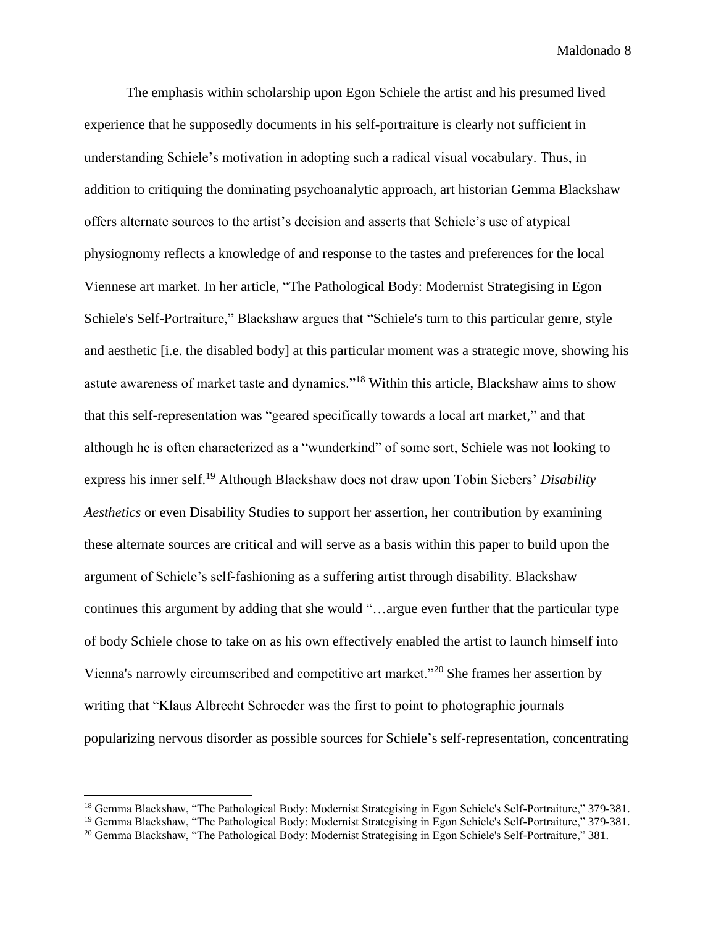The emphasis within scholarship upon Egon Schiele the artist and his presumed lived experience that he supposedly documents in his self-portraiture is clearly not sufficient in understanding Schiele's motivation in adopting such a radical visual vocabulary. Thus, in addition to critiquing the dominating psychoanalytic approach, art historian Gemma Blackshaw offers alternate sources to the artist's decision and asserts that Schiele's use of atypical physiognomy reflects a knowledge of and response to the tastes and preferences for the local Viennese art market. In her article, "The Pathological Body: Modernist Strategising in Egon Schiele's Self-Portraiture," Blackshaw argues that "Schiele's turn to this particular genre, style and aesthetic [i.e. the disabled body] at this particular moment was a strategic move, showing his astute awareness of market taste and dynamics."<sup>18</sup> Within this article, Blackshaw aims to show that this self-representation was "geared specifically towards a local art market," and that although he is often characterized as a "wunderkind" of some sort, Schiele was not looking to express his inner self.<sup>19</sup> Although Blackshaw does not draw upon Tobin Siebers' *Disability Aesthetics* or even Disability Studies to support her assertion, her contribution by examining these alternate sources are critical and will serve as a basis within this paper to build upon the argument of Schiele's self-fashioning as a suffering artist through disability. Blackshaw continues this argument by adding that she would "…argue even further that the particular type of body Schiele chose to take on as his own effectively enabled the artist to launch himself into Vienna's narrowly circumscribed and competitive art market."<sup>20</sup> She frames her assertion by writing that "Klaus Albrecht Schroeder was the first to point to photographic journals popularizing nervous disorder as possible sources for Schiele's self-representation, concentrating

<sup>&</sup>lt;sup>18</sup> Gemma Blackshaw, "The Pathological Body: Modernist Strategising in Egon Schiele's Self-Portraiture," 379-381.

<sup>&</sup>lt;sup>19</sup> Gemma Blackshaw, "The Pathological Body: Modernist Strategising in Egon Schiele's Self-Portraiture," 379-381.

<sup>&</sup>lt;sup>20</sup> Gemma Blackshaw, "The Pathological Body: Modernist Strategising in Egon Schiele's Self-Portraiture," 381.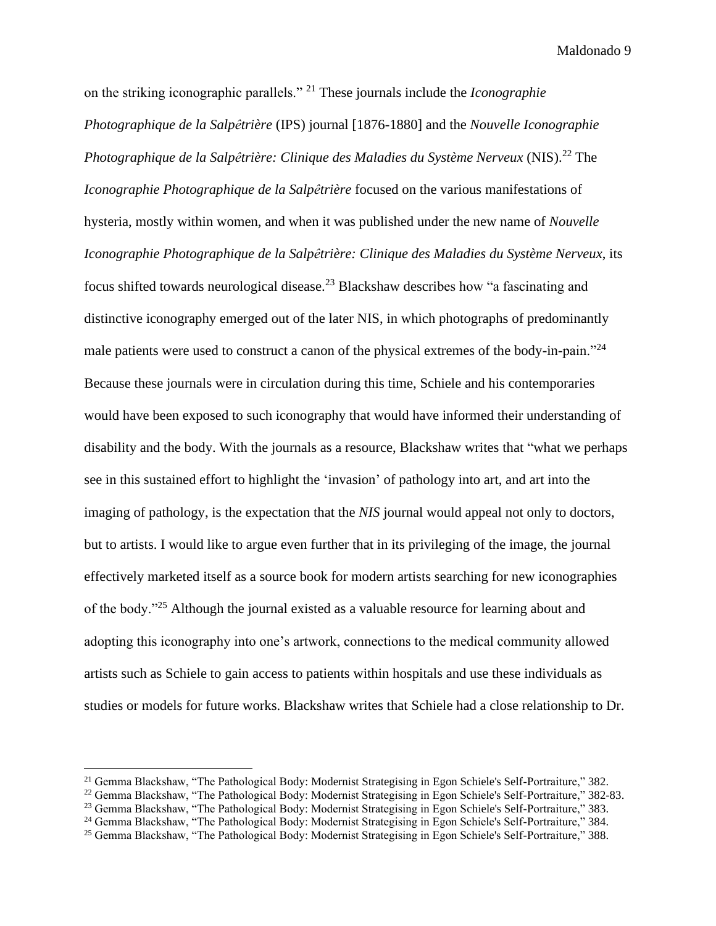on the striking iconographic parallels." <sup>21</sup> These journals include the *Iconographie Photographique de la Salpêtrière* (IPS) journal [1876-1880] and the *Nouvelle Iconographie Photographique de la Salpêtrière: Clinique des Maladies du Système Nerveux* (NIS).<sup>22</sup> The *Iconographie Photographique de la Salpêtrière* focused on the various manifestations of hysteria, mostly within women, and when it was published under the new name of *Nouvelle Iconographie Photographique de la Salpêtrière: Clinique des Maladies du Système Nerveux*, its focus shifted towards neurological disease.<sup>23</sup> Blackshaw describes how "a fascinating and distinctive iconography emerged out of the later NIS, in which photographs of predominantly male patients were used to construct a canon of the physical extremes of the body-in-pain."<sup>24</sup> Because these journals were in circulation during this time, Schiele and his contemporaries would have been exposed to such iconography that would have informed their understanding of disability and the body. With the journals as a resource, Blackshaw writes that "what we perhaps see in this sustained effort to highlight the 'invasion' of pathology into art, and art into the imaging of pathology, is the expectation that the *NIS* journal would appeal not only to doctors, but to artists. I would like to argue even further that in its privileging of the image, the journal effectively marketed itself as a source book for modern artists searching for new iconographies of the body."<sup>25</sup> Although the journal existed as a valuable resource for learning about and adopting this iconography into one's artwork, connections to the medical community allowed artists such as Schiele to gain access to patients within hospitals and use these individuals as studies or models for future works. Blackshaw writes that Schiele had a close relationship to Dr.

<sup>21</sup> Gemma Blackshaw, "The Pathological Body: Modernist Strategising in Egon Schiele's Self-Portraiture," 382.

<sup>22</sup> Gemma Blackshaw, "The Pathological Body: Modernist Strategising in Egon Schiele's Self-Portraiture," 382-83.

<sup>&</sup>lt;sup>23</sup> Gemma Blackshaw, "The Pathological Body: Modernist Strategising in Egon Schiele's Self-Portraiture," 383.

<sup>&</sup>lt;sup>24</sup> Gemma Blackshaw, "The Pathological Body: Modernist Strategising in Egon Schiele's Self-Portraiture," 384.

<sup>25</sup> Gemma Blackshaw, "The Pathological Body: Modernist Strategising in Egon Schiele's Self-Portraiture," 388.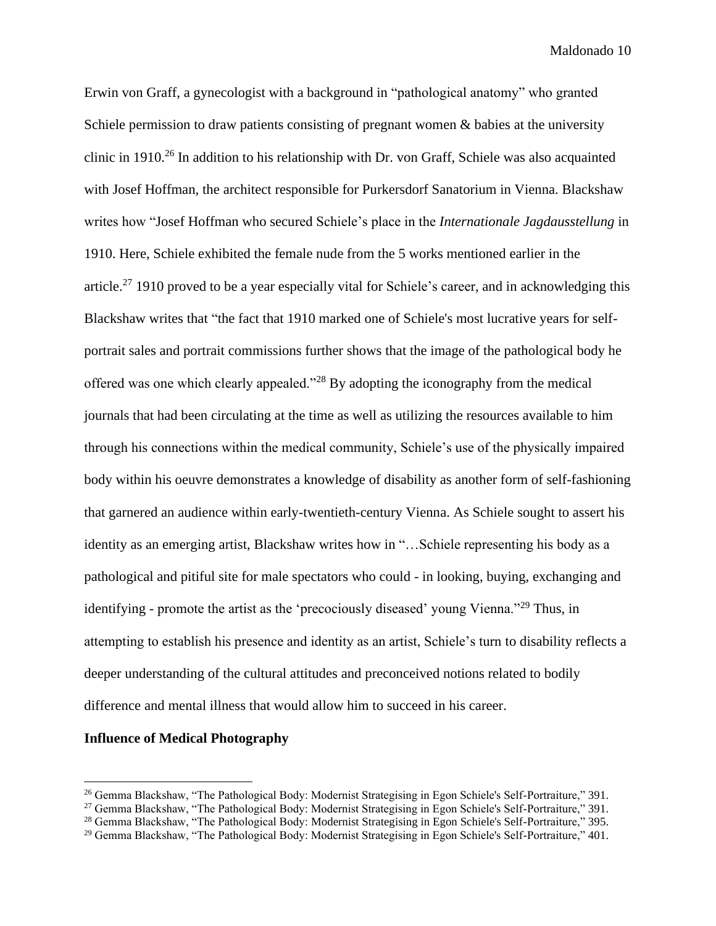Erwin von Graff, a gynecologist with a background in "pathological anatomy" who granted Schiele permission to draw patients consisting of pregnant women & babies at the university clinic in 1910.<sup>26</sup> In addition to his relationship with Dr. von Graff, Schiele was also acquainted with Josef Hoffman, the architect responsible for Purkersdorf Sanatorium in Vienna. Blackshaw writes how "Josef Hoffman who secured Schiele's place in the *Internationale Jagdausstellung* in 1910. Here, Schiele exhibited the female nude from the 5 works mentioned earlier in the article.<sup>27</sup> 1910 proved to be a year especially vital for Schiele's career, and in acknowledging this Blackshaw writes that "the fact that 1910 marked one of Schiele's most lucrative years for selfportrait sales and portrait commissions further shows that the image of the pathological body he offered was one which clearly appealed."<sup>28</sup> By adopting the iconography from the medical journals that had been circulating at the time as well as utilizing the resources available to him through his connections within the medical community, Schiele's use of the physically impaired body within his oeuvre demonstrates a knowledge of disability as another form of self-fashioning that garnered an audience within early-twentieth-century Vienna. As Schiele sought to assert his identity as an emerging artist, Blackshaw writes how in "…Schiele representing his body as a pathological and pitiful site for male spectators who could - in looking, buying, exchanging and identifying - promote the artist as the 'precociously diseased' young Vienna."<sup>29</sup> Thus, in attempting to establish his presence and identity as an artist, Schiele's turn to disability reflects a deeper understanding of the cultural attitudes and preconceived notions related to bodily difference and mental illness that would allow him to succeed in his career.

#### **Influence of Medical Photography**

<sup>&</sup>lt;sup>26</sup> Gemma Blackshaw, "The Pathological Body: Modernist Strategising in Egon Schiele's Self-Portraiture," 391.

<sup>&</sup>lt;sup>27</sup> Gemma Blackshaw, "The Pathological Body: Modernist Strategising in Egon Schiele's Self-Portraiture," 391.

<sup>&</sup>lt;sup>28</sup> Gemma Blackshaw, "The Pathological Body: Modernist Strategising in Egon Schiele's Self-Portraiture," 395.

<sup>29</sup> Gemma Blackshaw, "The Pathological Body: Modernist Strategising in Egon Schiele's Self-Portraiture," 401.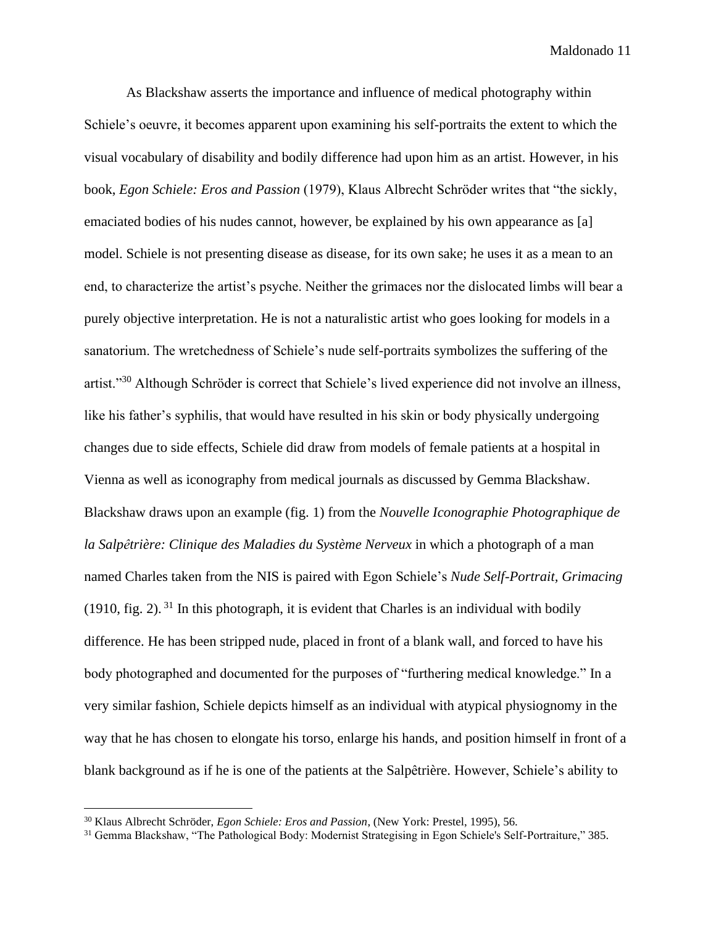As Blackshaw asserts the importance and influence of medical photography within Schiele's oeuvre, it becomes apparent upon examining his self-portraits the extent to which the visual vocabulary of disability and bodily difference had upon him as an artist. However, in his book, *Egon Schiele: Eros and Passion* (1979), Klaus Albrecht Schröder writes that "the sickly, emaciated bodies of his nudes cannot, however, be explained by his own appearance as [a] model. Schiele is not presenting disease as disease, for its own sake; he uses it as a mean to an end, to characterize the artist's psyche. Neither the grimaces nor the dislocated limbs will bear a purely objective interpretation. He is not a naturalistic artist who goes looking for models in a sanatorium. The wretchedness of Schiele's nude self-portraits symbolizes the suffering of the artist."<sup>30</sup> Although Schröder is correct that Schiele's lived experience did not involve an illness, like his father's syphilis, that would have resulted in his skin or body physically undergoing changes due to side effects, Schiele did draw from models of female patients at a hospital in Vienna as well as iconography from medical journals as discussed by Gemma Blackshaw. Blackshaw draws upon an example (fig. 1) from the *Nouvelle Iconographie Photographique de la Salpêtrière: Clinique des Maladies du Système Nerveux* in which a photograph of a man named Charles taken from the NIS is paired with Egon Schiele's *Nude Self-Portrait, Grimacing*  (1910, fig. 2).  $31$  In this photograph, it is evident that Charles is an individual with bodily difference. He has been stripped nude, placed in front of a blank wall, and forced to have his body photographed and documented for the purposes of "furthering medical knowledge." In a very similar fashion, Schiele depicts himself as an individual with atypical physiognomy in the way that he has chosen to elongate his torso, enlarge his hands, and position himself in front of a blank background as if he is one of the patients at the Salpêtrière. However, Schiele's ability to

<sup>30</sup> Klaus Albrecht Schröder, *Egon Schiele: Eros and Passion*, (New York: Prestel, 1995), 56.

<sup>31</sup> Gemma Blackshaw, "The Pathological Body: Modernist Strategising in Egon Schiele's Self-Portraiture," 385.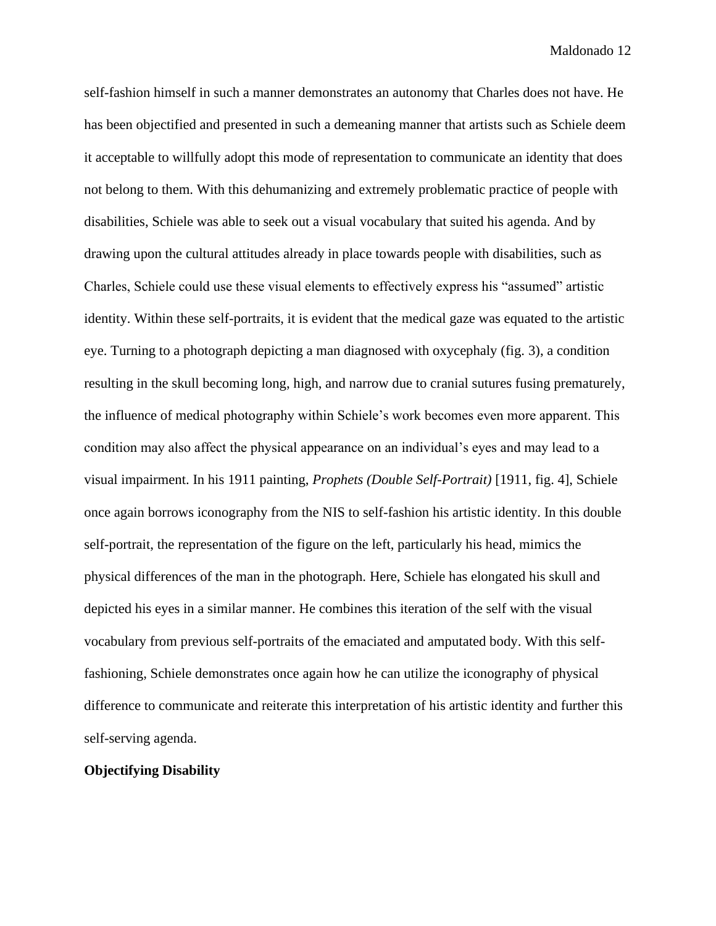self-fashion himself in such a manner demonstrates an autonomy that Charles does not have. He has been objectified and presented in such a demeaning manner that artists such as Schiele deem it acceptable to willfully adopt this mode of representation to communicate an identity that does not belong to them. With this dehumanizing and extremely problematic practice of people with disabilities, Schiele was able to seek out a visual vocabulary that suited his agenda. And by drawing upon the cultural attitudes already in place towards people with disabilities, such as Charles, Schiele could use these visual elements to effectively express his "assumed" artistic identity. Within these self-portraits, it is evident that the medical gaze was equated to the artistic eye. Turning to a photograph depicting a man diagnosed with oxycephaly (fig. 3), a condition resulting in the skull becoming long, high, and narrow due to cranial sutures fusing prematurely, the influence of medical photography within Schiele's work becomes even more apparent. This condition may also affect the physical appearance on an individual's eyes and may lead to a visual impairment. In his 1911 painting, *Prophets (Double Self-Portrait)* [1911, fig. 4], Schiele once again borrows iconography from the NIS to self-fashion his artistic identity. In this double self-portrait, the representation of the figure on the left, particularly his head, mimics the physical differences of the man in the photograph. Here, Schiele has elongated his skull and depicted his eyes in a similar manner. He combines this iteration of the self with the visual vocabulary from previous self-portraits of the emaciated and amputated body. With this selffashioning, Schiele demonstrates once again how he can utilize the iconography of physical difference to communicate and reiterate this interpretation of his artistic identity and further this self-serving agenda.

#### **Objectifying Disability**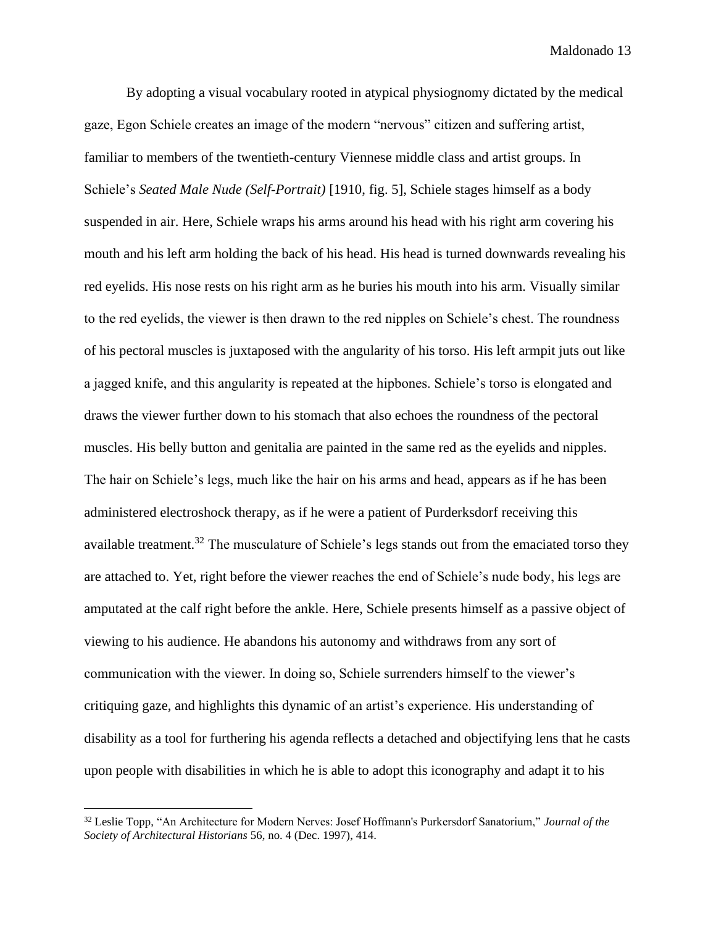By adopting a visual vocabulary rooted in atypical physiognomy dictated by the medical gaze, Egon Schiele creates an image of the modern "nervous" citizen and suffering artist, familiar to members of the twentieth-century Viennese middle class and artist groups. In Schiele's *Seated Male Nude (Self-Portrait)* [1910, fig. 5], Schiele stages himself as a body suspended in air. Here, Schiele wraps his arms around his head with his right arm covering his mouth and his left arm holding the back of his head. His head is turned downwards revealing his red eyelids. His nose rests on his right arm as he buries his mouth into his arm. Visually similar to the red eyelids, the viewer is then drawn to the red nipples on Schiele's chest. The roundness of his pectoral muscles is juxtaposed with the angularity of his torso. His left armpit juts out like a jagged knife, and this angularity is repeated at the hipbones. Schiele's torso is elongated and draws the viewer further down to his stomach that also echoes the roundness of the pectoral muscles. His belly button and genitalia are painted in the same red as the eyelids and nipples. The hair on Schiele's legs, much like the hair on his arms and head, appears as if he has been administered electroshock therapy, as if he were a patient of Purderksdorf receiving this available treatment.<sup>32</sup> The musculature of Schiele's legs stands out from the emaciated torso they are attached to. Yet, right before the viewer reaches the end of Schiele's nude body, his legs are amputated at the calf right before the ankle. Here, Schiele presents himself as a passive object of viewing to his audience. He abandons his autonomy and withdraws from any sort of communication with the viewer. In doing so, Schiele surrenders himself to the viewer's critiquing gaze, and highlights this dynamic of an artist's experience. His understanding of disability as a tool for furthering his agenda reflects a detached and objectifying lens that he casts upon people with disabilities in which he is able to adopt this iconography and adapt it to his

<sup>32</sup> Leslie Topp, "An Architecture for Modern Nerves: Josef Hoffmann's Purkersdorf Sanatorium," *Journal of the Society of Architectural Historians* 56, no. 4 (Dec. 1997), 414.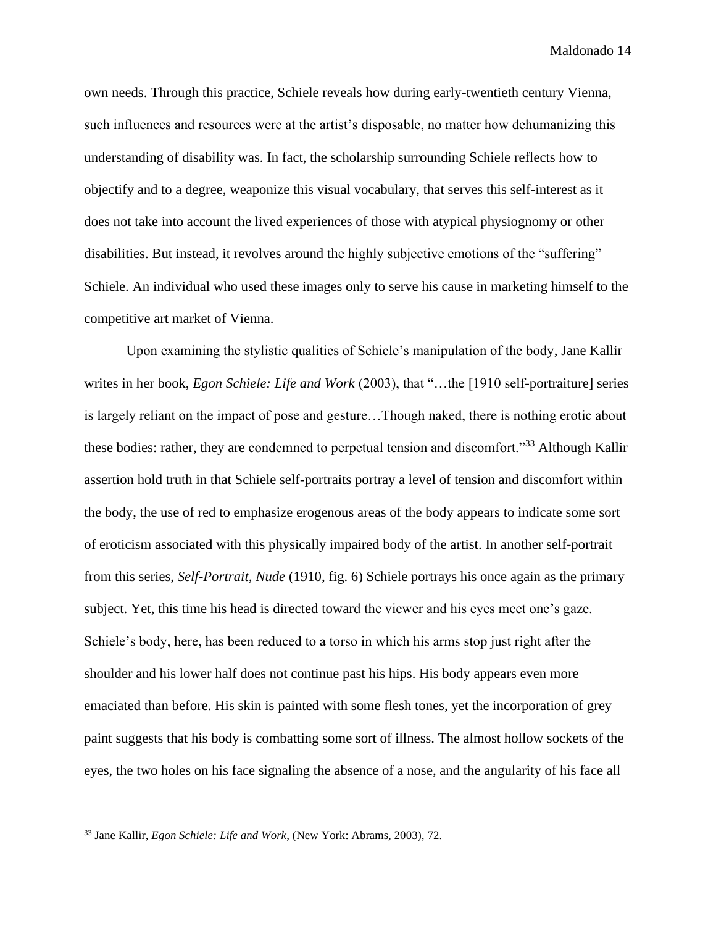own needs. Through this practice, Schiele reveals how during early-twentieth century Vienna, such influences and resources were at the artist's disposable, no matter how dehumanizing this understanding of disability was. In fact, the scholarship surrounding Schiele reflects how to objectify and to a degree, weaponize this visual vocabulary, that serves this self-interest as it does not take into account the lived experiences of those with atypical physiognomy or other disabilities. But instead, it revolves around the highly subjective emotions of the "suffering" Schiele. An individual who used these images only to serve his cause in marketing himself to the competitive art market of Vienna.

Upon examining the stylistic qualities of Schiele's manipulation of the body, Jane Kallir writes in her book, *Egon Schiele: Life and Work* (2003), that "…the [1910 self-portraiture] series is largely reliant on the impact of pose and gesture…Though naked, there is nothing erotic about these bodies: rather, they are condemned to perpetual tension and discomfort."<sup>33</sup> Although Kallir assertion hold truth in that Schiele self-portraits portray a level of tension and discomfort within the body, the use of red to emphasize erogenous areas of the body appears to indicate some sort of eroticism associated with this physically impaired body of the artist. In another self-portrait from this series, *Self-Portrait, Nude* (1910, fig. 6) Schiele portrays his once again as the primary subject. Yet, this time his head is directed toward the viewer and his eyes meet one's gaze. Schiele's body, here, has been reduced to a torso in which his arms stop just right after the shoulder and his lower half does not continue past his hips. His body appears even more emaciated than before. His skin is painted with some flesh tones, yet the incorporation of grey paint suggests that his body is combatting some sort of illness. The almost hollow sockets of the eyes, the two holes on his face signaling the absence of a nose, and the angularity of his face all

<sup>33</sup> Jane Kallir, *Egon Schiele: Life and Work*, (New York: Abrams, 2003), 72.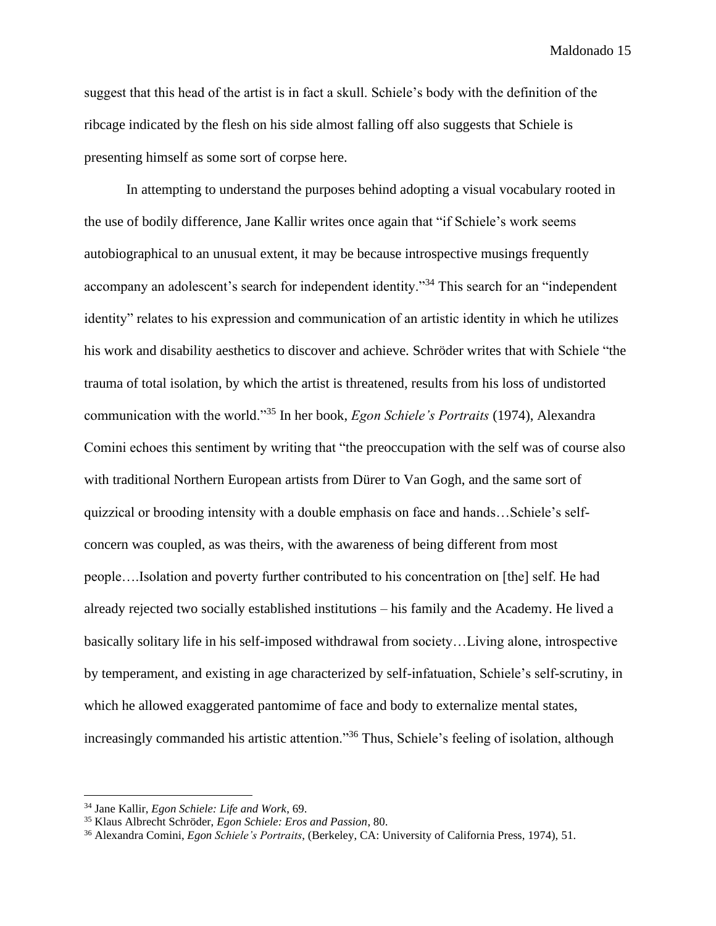suggest that this head of the artist is in fact a skull. Schiele's body with the definition of the ribcage indicated by the flesh on his side almost falling off also suggests that Schiele is presenting himself as some sort of corpse here.

In attempting to understand the purposes behind adopting a visual vocabulary rooted in the use of bodily difference, Jane Kallir writes once again that "if Schiele's work seems autobiographical to an unusual extent, it may be because introspective musings frequently accompany an adolescent's search for independent identity."<sup>34</sup> This search for an "independent identity" relates to his expression and communication of an artistic identity in which he utilizes his work and disability aesthetics to discover and achieve. Schröder writes that with Schiele "the trauma of total isolation, by which the artist is threatened, results from his loss of undistorted communication with the world."<sup>35</sup> In her book, *Egon Schiele's Portraits* (1974), Alexandra Comini echoes this sentiment by writing that "the preoccupation with the self was of course also with traditional Northern European artists from Dürer to Van Gogh, and the same sort of quizzical or brooding intensity with a double emphasis on face and hands…Schiele's selfconcern was coupled, as was theirs, with the awareness of being different from most people….Isolation and poverty further contributed to his concentration on [the] self. He had already rejected two socially established institutions – his family and the Academy. He lived a basically solitary life in his self-imposed withdrawal from society…Living alone, introspective by temperament, and existing in age characterized by self-infatuation, Schiele's self-scrutiny, in which he allowed exaggerated pantomime of face and body to externalize mental states, increasingly commanded his artistic attention."<sup>36</sup> Thus, Schiele's feeling of isolation, although

<sup>34</sup> Jane Kallir, *Egon Schiele: Life and Work*, 69.

<sup>35</sup> Klaus Albrecht Schröder, *Egon Schiele: Eros and Passion*, 80.

<sup>36</sup> Alexandra Comini, *Egon Schiele's Portraits*, (Berkeley, CA: University of California Press, 1974), 51.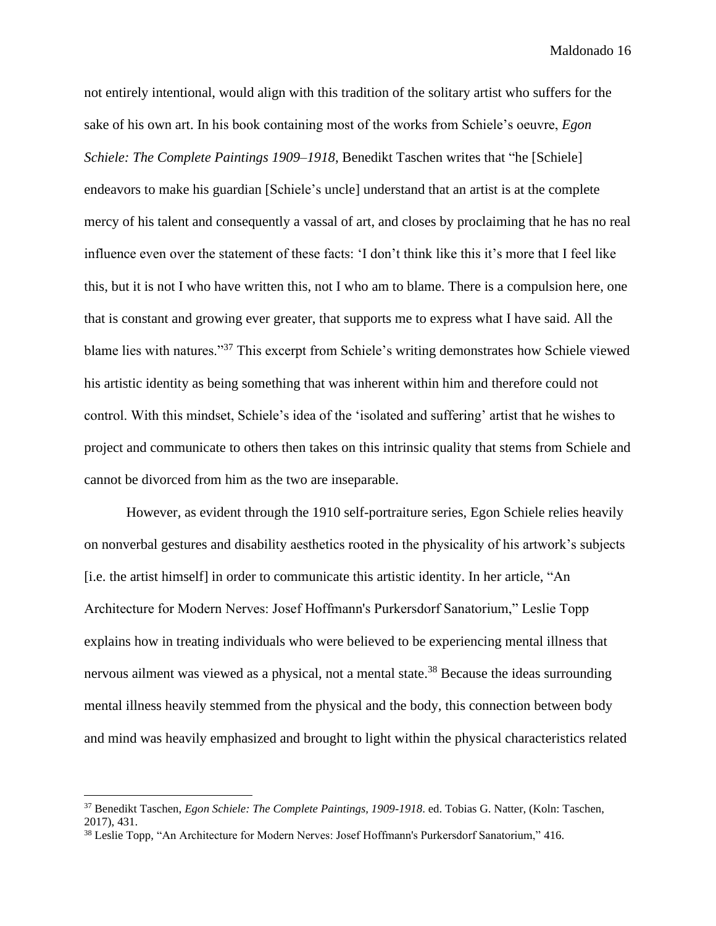not entirely intentional, would align with this tradition of the solitary artist who suffers for the sake of his own art. In his book containing most of the works from Schiele's oeuvre, *Egon Schiele: The Complete Paintings 1909–1918*, Benedikt Taschen writes that "he [Schiele] endeavors to make his guardian [Schiele's uncle] understand that an artist is at the complete mercy of his talent and consequently a vassal of art, and closes by proclaiming that he has no real influence even over the statement of these facts: 'I don't think like this it's more that I feel like this, but it is not I who have written this, not I who am to blame. There is a compulsion here, one that is constant and growing ever greater, that supports me to express what I have said. All the blame lies with natures."<sup>37</sup> This excerpt from Schiele's writing demonstrates how Schiele viewed his artistic identity as being something that was inherent within him and therefore could not control. With this mindset, Schiele's idea of the 'isolated and suffering' artist that he wishes to project and communicate to others then takes on this intrinsic quality that stems from Schiele and cannot be divorced from him as the two are inseparable.

However, as evident through the 1910 self-portraiture series, Egon Schiele relies heavily on nonverbal gestures and disability aesthetics rooted in the physicality of his artwork's subjects [i.e. the artist himself] in order to communicate this artistic identity. In her article, "An Architecture for Modern Nerves: Josef Hoffmann's Purkersdorf Sanatorium," Leslie Topp explains how in treating individuals who were believed to be experiencing mental illness that nervous ailment was viewed as a physical, not a mental state.<sup>38</sup> Because the ideas surrounding mental illness heavily stemmed from the physical and the body, this connection between body and mind was heavily emphasized and brought to light within the physical characteristics related

<sup>37</sup> Benedikt Taschen, *Egon Schiele: The Complete Paintings, 1909-1918*. ed. Tobias G. Natter, (Koln: Taschen, 2017), 431.

<sup>&</sup>lt;sup>38</sup> Leslie Topp, "An Architecture for Modern Nerves: Josef Hoffmann's Purkersdorf Sanatorium," 416.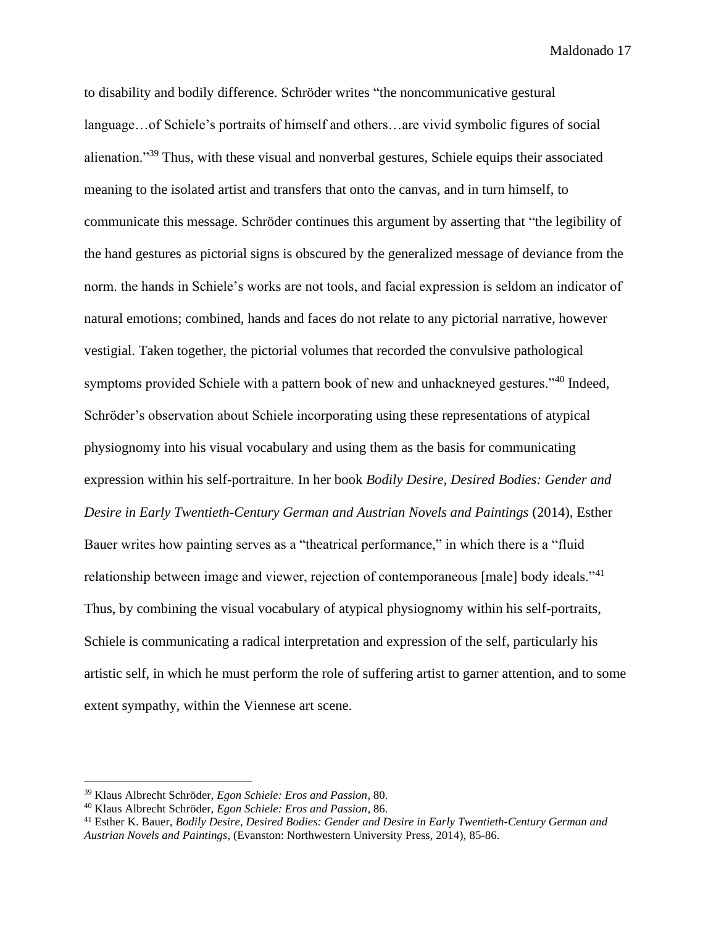to disability and bodily difference. Schröder writes "the noncommunicative gestural language…of Schiele's portraits of himself and others…are vivid symbolic figures of social alienation."<sup>39</sup> Thus, with these visual and nonverbal gestures, Schiele equips their associated meaning to the isolated artist and transfers that onto the canvas, and in turn himself, to communicate this message. Schröder continues this argument by asserting that "the legibility of the hand gestures as pictorial signs is obscured by the generalized message of deviance from the norm. the hands in Schiele's works are not tools, and facial expression is seldom an indicator of natural emotions; combined, hands and faces do not relate to any pictorial narrative, however vestigial. Taken together, the pictorial volumes that recorded the convulsive pathological symptoms provided Schiele with a pattern book of new and unhackneyed gestures."<sup>40</sup> Indeed, Schröder's observation about Schiele incorporating using these representations of atypical physiognomy into his visual vocabulary and using them as the basis for communicating expression within his self-portraiture. In her book *Bodily Desire, Desired Bodies: Gender and Desire in Early Twentieth-Century German and Austrian Novels and Paintings* (2014), Esther Bauer writes how painting serves as a "theatrical performance," in which there is a "fluid relationship between image and viewer, rejection of contemporaneous [male] body ideals."<sup>41</sup> Thus, by combining the visual vocabulary of atypical physiognomy within his self-portraits, Schiele is communicating a radical interpretation and expression of the self, particularly his artistic self, in which he must perform the role of suffering artist to garner attention, and to some extent sympathy, within the Viennese art scene.

<sup>39</sup> Klaus Albrecht Schröder, *Egon Schiele: Eros and Passion*, 80.

<sup>40</sup> Klaus Albrecht Schröder, *Egon Schiele: Eros and Passion*, 86.

<sup>41</sup> Esther K. Bauer, *Bodily Desire, Desired Bodies: Gender and Desire in Early Twentieth-Century German and Austrian Novels and Paintings*, (Evanston: Northwestern University Press, 2014), 85-86.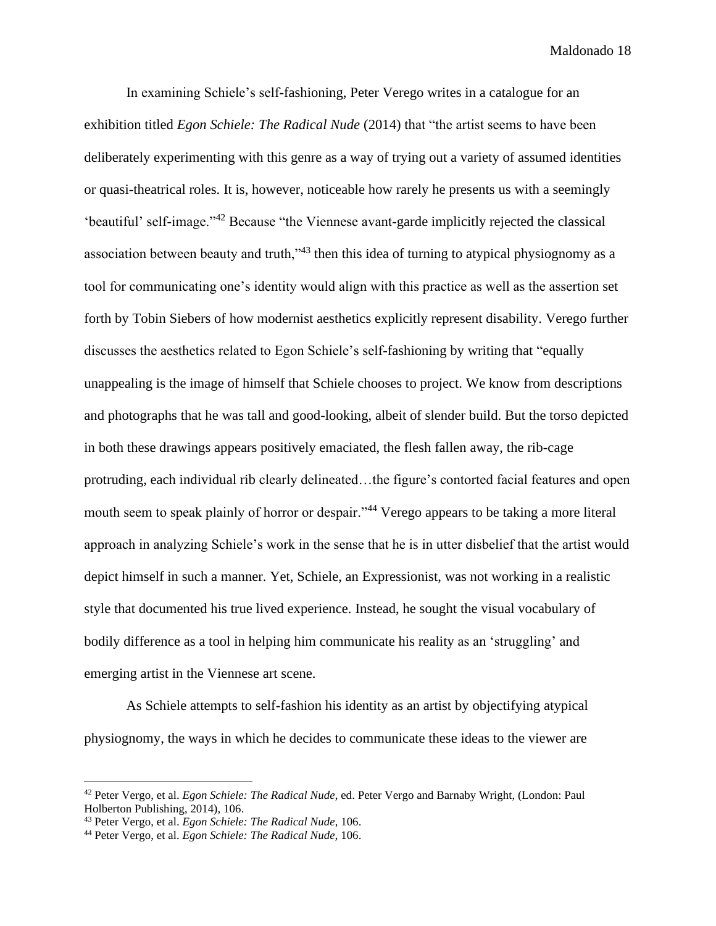In examining Schiele's self-fashioning, Peter Verego writes in a catalogue for an exhibition titled *Egon Schiele: The Radical Nude* (2014) that "the artist seems to have been deliberately experimenting with this genre as a way of trying out a variety of assumed identities or quasi-theatrical roles. It is, however, noticeable how rarely he presents us with a seemingly 'beautiful' self-image."<sup>42</sup> Because "the Viennese avant-garde implicitly rejected the classical association between beauty and truth,"<sup>43</sup> then this idea of turning to atypical physiognomy as a tool for communicating one's identity would align with this practice as well as the assertion set forth by Tobin Siebers of how modernist aesthetics explicitly represent disability. Verego further discusses the aesthetics related to Egon Schiele's self-fashioning by writing that "equally unappealing is the image of himself that Schiele chooses to project. We know from descriptions and photographs that he was tall and good-looking, albeit of slender build. But the torso depicted in both these drawings appears positively emaciated, the flesh fallen away, the rib-cage protruding, each individual rib clearly delineated…the figure's contorted facial features and open mouth seem to speak plainly of horror or despair."<sup>44</sup> Verego appears to be taking a more literal approach in analyzing Schiele's work in the sense that he is in utter disbelief that the artist would depict himself in such a manner. Yet, Schiele, an Expressionist, was not working in a realistic style that documented his true lived experience. Instead, he sought the visual vocabulary of bodily difference as a tool in helping him communicate his reality as an 'struggling' and emerging artist in the Viennese art scene.

As Schiele attempts to self-fashion his identity as an artist by objectifying atypical physiognomy, the ways in which he decides to communicate these ideas to the viewer are

<sup>42</sup> Peter Vergo, et al. *Egon Schiele: The Radical Nude*, ed. Peter Vergo and Barnaby Wright, (London: Paul Holberton Publishing, 2014), 106.

<sup>43</sup> Peter Vergo, et al. *Egon Schiele: The Radical Nude*, 106.

<sup>44</sup> Peter Vergo, et al. *Egon Schiele: The Radical Nude*, 106.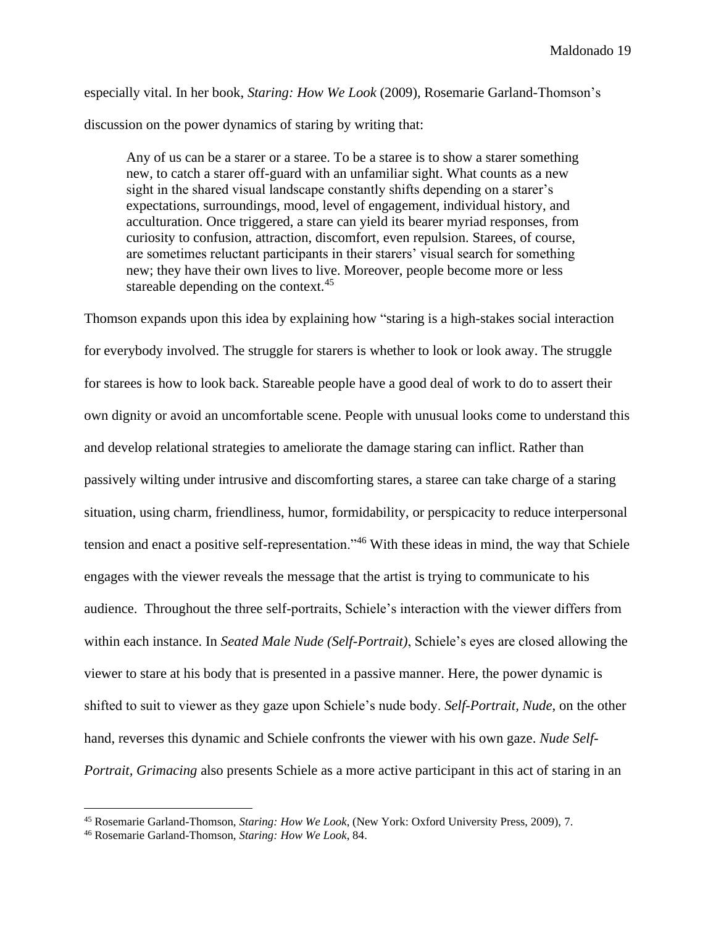especially vital. In her book, *Staring: How We Look* (2009), Rosemarie Garland-Thomson's discussion on the power dynamics of staring by writing that:

Any of us can be a starer or a staree. To be a staree is to show a starer something new, to catch a starer off-guard with an unfamiliar sight. What counts as a new sight in the shared visual landscape constantly shifts depending on a starer's expectations, surroundings, mood, level of engagement, individual history, and acculturation. Once triggered, a stare can yield its bearer myriad responses, from curiosity to confusion, attraction, discomfort, even repulsion. Starees, of course, are sometimes reluctant participants in their starers' visual search for something new; they have their own lives to live. Moreover, people become more or less stareable depending on the context.<sup>45</sup>

Thomson expands upon this idea by explaining how "staring is a high-stakes social interaction for everybody involved. The struggle for starers is whether to look or look away. The struggle for starees is how to look back. Stareable people have a good deal of work to do to assert their own dignity or avoid an uncomfortable scene. People with unusual looks come to understand this and develop relational strategies to ameliorate the damage staring can inflict. Rather than passively wilting under intrusive and discomforting stares, a staree can take charge of a staring situation, using charm, friendliness, humor, formidability, or perspicacity to reduce interpersonal tension and enact a positive self-representation."<sup>46</sup> With these ideas in mind, the way that Schiele engages with the viewer reveals the message that the artist is trying to communicate to his audience. Throughout the three self-portraits, Schiele's interaction with the viewer differs from within each instance. In *Seated Male Nude (Self-Portrait)*, Schiele's eyes are closed allowing the viewer to stare at his body that is presented in a passive manner. Here, the power dynamic is shifted to suit to viewer as they gaze upon Schiele's nude body. *Self-Portrait, Nude*, on the other hand, reverses this dynamic and Schiele confronts the viewer with his own gaze. *Nude Self-Portrait, Grimacing* also presents Schiele as a more active participant in this act of staring in an

<sup>45</sup> Rosemarie Garland-Thomson, *Staring: How We Look*, (New York: Oxford University Press, 2009), 7.

<sup>46</sup> Rosemarie Garland-Thomson, *Staring: How We Look*, 84.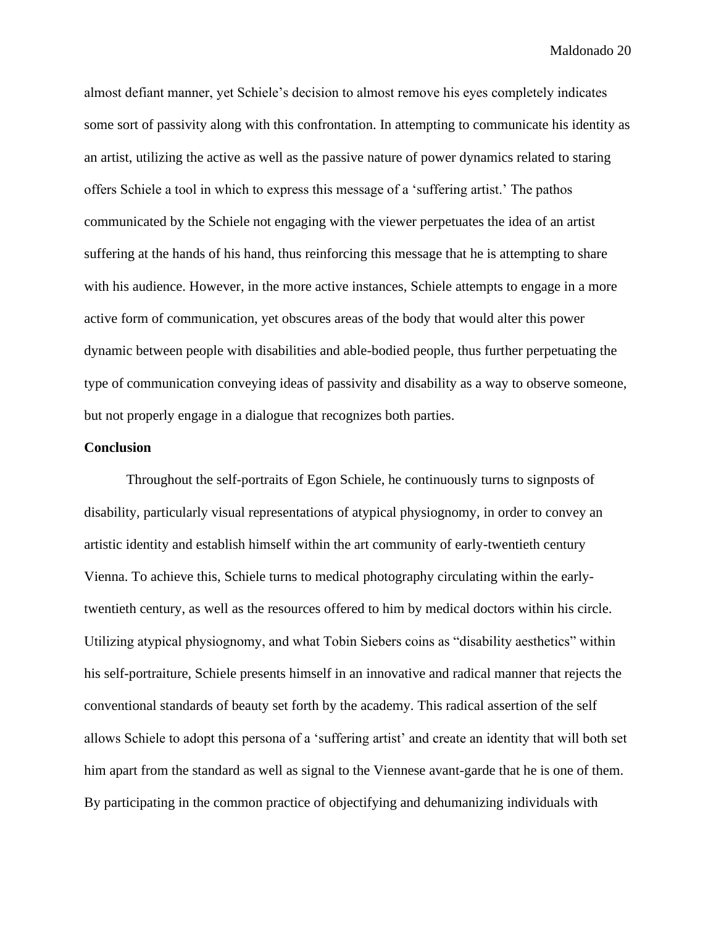almost defiant manner, yet Schiele's decision to almost remove his eyes completely indicates some sort of passivity along with this confrontation. In attempting to communicate his identity as an artist, utilizing the active as well as the passive nature of power dynamics related to staring offers Schiele a tool in which to express this message of a 'suffering artist.' The pathos communicated by the Schiele not engaging with the viewer perpetuates the idea of an artist suffering at the hands of his hand, thus reinforcing this message that he is attempting to share with his audience. However, in the more active instances, Schiele attempts to engage in a more active form of communication, yet obscures areas of the body that would alter this power dynamic between people with disabilities and able-bodied people, thus further perpetuating the type of communication conveying ideas of passivity and disability as a way to observe someone, but not properly engage in a dialogue that recognizes both parties.

#### **Conclusion**

Throughout the self-portraits of Egon Schiele, he continuously turns to signposts of disability, particularly visual representations of atypical physiognomy, in order to convey an artistic identity and establish himself within the art community of early-twentieth century Vienna. To achieve this, Schiele turns to medical photography circulating within the earlytwentieth century, as well as the resources offered to him by medical doctors within his circle. Utilizing atypical physiognomy, and what Tobin Siebers coins as "disability aesthetics" within his self-portraiture, Schiele presents himself in an innovative and radical manner that rejects the conventional standards of beauty set forth by the academy. This radical assertion of the self allows Schiele to adopt this persona of a 'suffering artist' and create an identity that will both set him apart from the standard as well as signal to the Viennese avant-garde that he is one of them. By participating in the common practice of objectifying and dehumanizing individuals with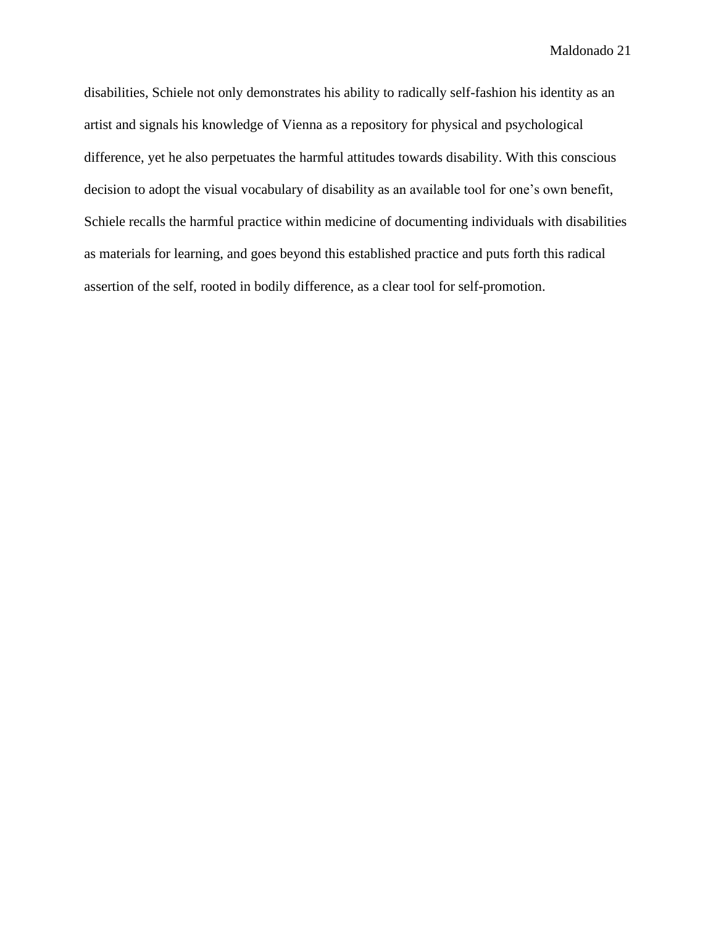disabilities, Schiele not only demonstrates his ability to radically self-fashion his identity as an artist and signals his knowledge of Vienna as a repository for physical and psychological difference, yet he also perpetuates the harmful attitudes towards disability. With this conscious decision to adopt the visual vocabulary of disability as an available tool for one's own benefit, Schiele recalls the harmful practice within medicine of documenting individuals with disabilities as materials for learning, and goes beyond this established practice and puts forth this radical assertion of the self, rooted in bodily difference, as a clear tool for self-promotion.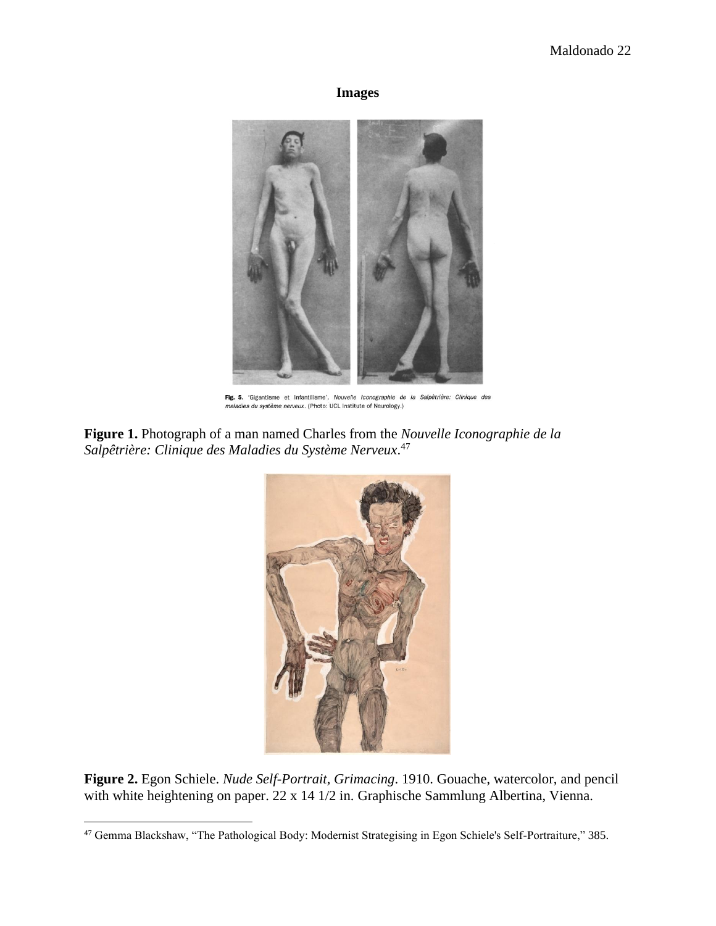# **Images**



Fig. 5. 'Gigantisme et Infantilisme', Nouvelle Iconographie de la Salpêtrière: Clinique des maladies du système nerveux. (Photo: UCL Institute of Neurology.)

**Figure 1.** Photograph of a man named Charles from the *Nouvelle Iconographie de la Salpêtrière: Clinique des Maladies du Système Nerveux*. 47



**Figure 2.** Egon Schiele. *Nude Self-Portrait, Grimacing*. 1910. Gouache, watercolor, and pencil with white heightening on paper. 22 x 14 1/2 in. Graphische Sammlung Albertina, Vienna.

<sup>47</sup> Gemma Blackshaw, "The Pathological Body: Modernist Strategising in Egon Schiele's Self-Portraiture," 385.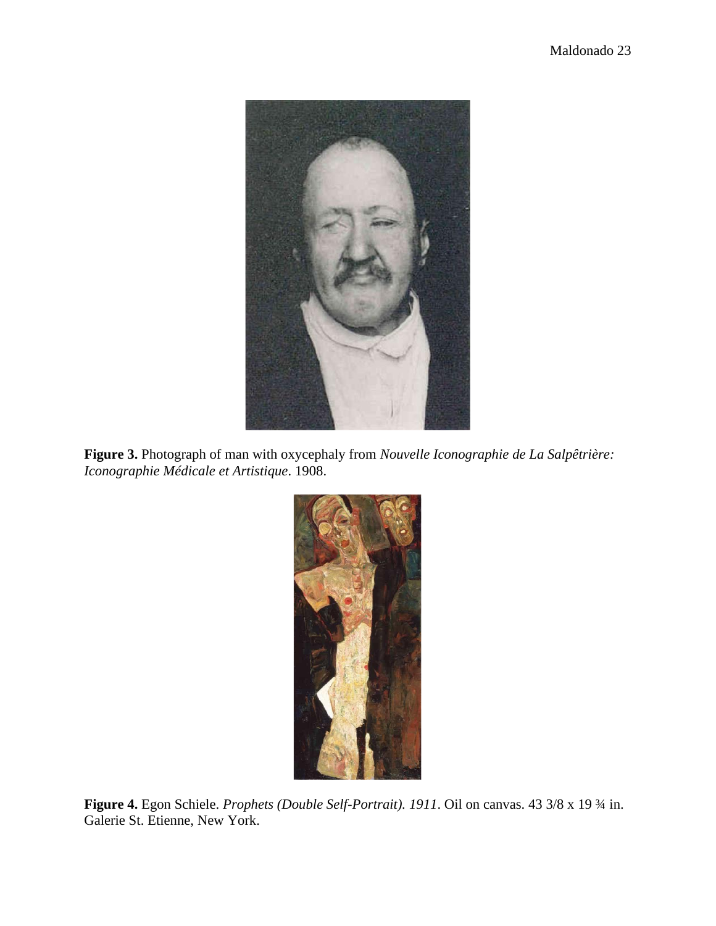

**Figure 3.** Photograph of man with oxycephaly from *Nouvelle Iconographie de La Salpêtrière: Iconographie Médicale et Artistique*. 1908.



**Figure 4.** Egon Schiele. *Prophets (Double Self-Portrait). 1911*. Oil on canvas. 43 3/8 x 19 ¾ in. Galerie St. Etienne, New York.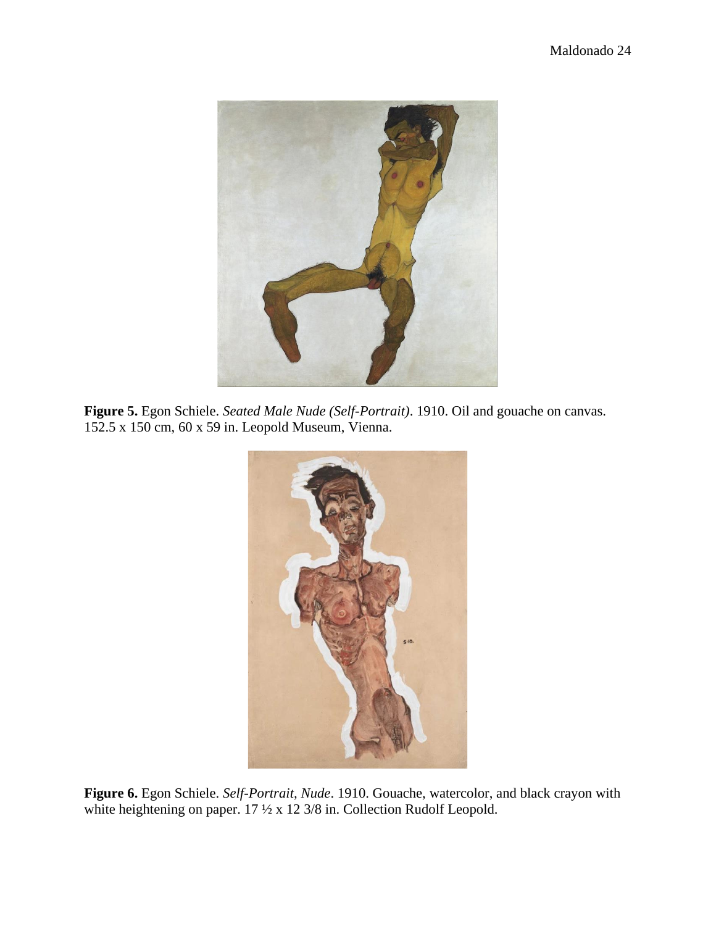

**Figure 5.** Egon Schiele. *Seated Male Nude (Self-Portrait)*. 1910. Oil and gouache on canvas. 152.5 x 150 cm, 60 x 59 in. Leopold Museum, Vienna.



**Figure 6.** Egon Schiele. *Self-Portrait, Nude*. 1910. Gouache, watercolor, and black crayon with white heightening on paper. 17  $\frac{1}{2}$  x 12 3/8 in. Collection Rudolf Leopold.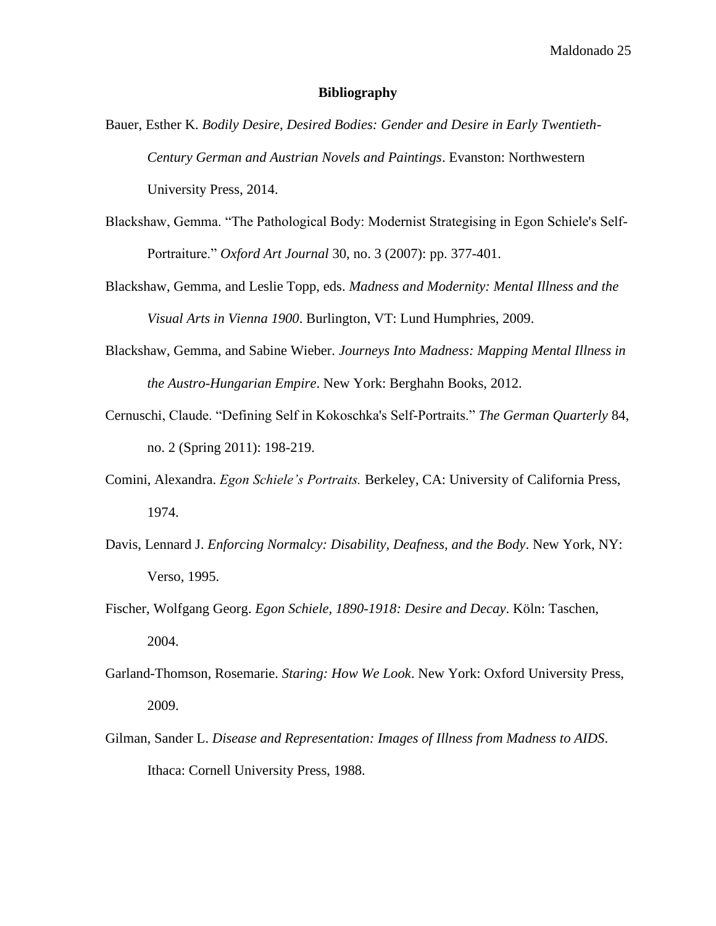#### **Bibliography**

- Bauer, Esther K. *Bodily Desire, Desired Bodies: Gender and Desire in Early Twentieth-Century German and Austrian Novels and Paintings*. Evanston: Northwestern University Press, 2014.
- Blackshaw, Gemma. "The Pathological Body: Modernist Strategising in Egon Schiele's Self-Portraiture." *Oxford Art Journal* 30, no. 3 (2007): pp. 377-401.
- Blackshaw, Gemma, and Leslie Topp, eds. *Madness and Modernity: Mental Illness and the Visual Arts in Vienna 1900*. Burlington, VT: Lund Humphries, 2009.
- Blackshaw, Gemma, and Sabine Wieber. *Journeys Into Madness: Mapping Mental Illness in the Austro-Hungarian Empire*. New York: Berghahn Books, 2012.
- Cernuschi, Claude. "Defining Self in Kokoschka's Self-Portraits." *The German Quarterly* 84, no. 2 (Spring 2011): 198-219.
- Comini, Alexandra. *Egon Schiele's Portraits.* Berkeley, CA: University of California Press, 1974.
- Davis, Lennard J. *Enforcing Normalcy: Disability, Deafness, and the Body*. New York, NY: Verso, 1995.
- Fischer, Wolfgang Georg. *Egon Schiele, 1890-1918: Desire and Decay*. Köln: Taschen, 2004.
- Garland-Thomson, Rosemarie. *Staring: How We Look*. New York: Oxford University Press, 2009.
- Gilman, Sander L. *Disease and Representation: Images of Illness from Madness to AIDS*. Ithaca: Cornell University Press, 1988.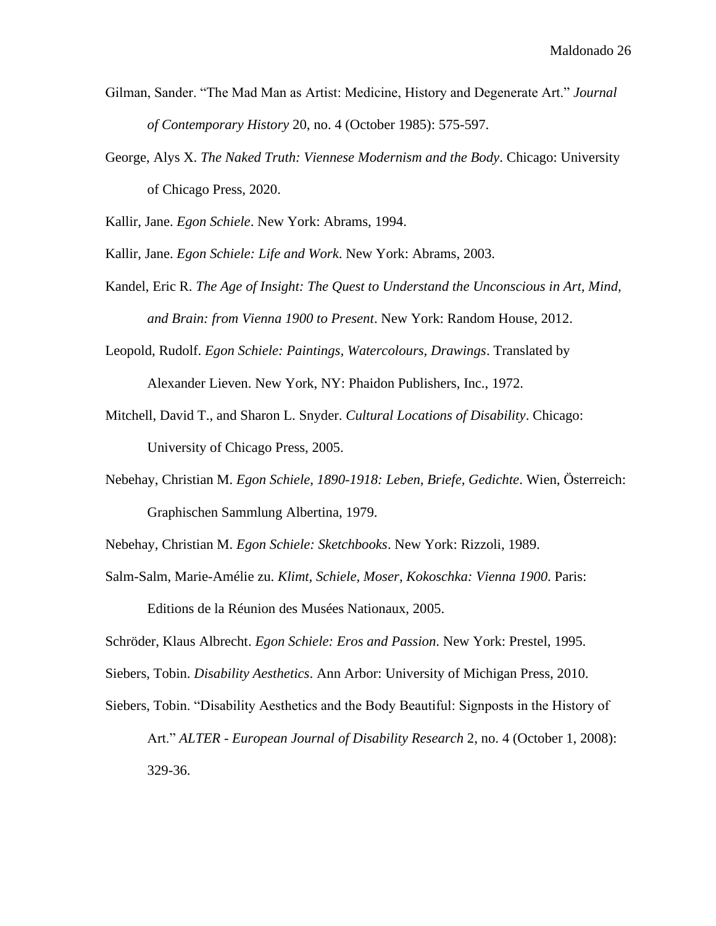- Gilman, Sander. "The Mad Man as Artist: Medicine, History and Degenerate Art." *Journal of Contemporary History* 20, no. 4 (October 1985): 575-597.
- George, Alys X. *The Naked Truth: Viennese Modernism and the Body*. Chicago: University of Chicago Press, 2020.

Kallir, Jane. *Egon Schiele*. New York: Abrams, 1994.

Kallir, Jane. *Egon Schiele: Life and Work*. New York: Abrams, 2003.

- Kandel, Eric R. *The Age of Insight: The Quest to Understand the Unconscious in Art, Mind, and Brain: from Vienna 1900 to Present*. New York: Random House, 2012.
- Leopold, Rudolf. *Egon Schiele: Paintings, Watercolours, Drawings*. Translated by Alexander Lieven. New York, NY: Phaidon Publishers, Inc., 1972.
- Mitchell, David T., and Sharon L. Snyder. *Cultural Locations of Disability*. Chicago: University of Chicago Press, 2005.
- Nebehay, Christian M. *Egon Schiele, 1890-1918: Leben, Briefe, Gedichte*. Wien, Österreich: Graphischen Sammlung Albertina, 1979.
- Nebehay, Christian M. *Egon Schiele: Sketchbooks*. New York: Rizzoli, 1989.
- Salm-Salm, Marie-Amélie zu. *Klimt, Schiele, Moser, Kokoschka: Vienna 1900*. Paris:

Editions de la Réunion des Musées Nationaux, 2005.

Schröder, Klaus Albrecht. *Egon Schiele: Eros and Passion*. New York: Prestel, 1995.

Siebers, Tobin. *Disability Aesthetics*. Ann Arbor: University of Michigan Press, 2010.

Siebers, Tobin. "Disability Aesthetics and the Body Beautiful: Signposts in the History of Art." *ALTER - European Journal of Disability Research* 2, no. 4 (October 1, 2008): 329-36.